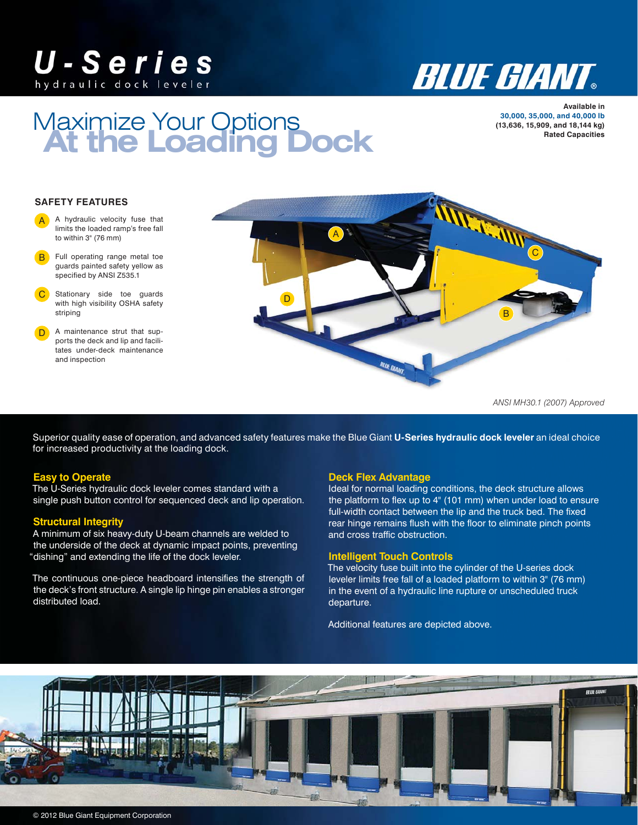## U-Series hydraulic dock leveler



# At the Loading Dock Maximize Your Options

**Available in 30,000, 35,000, and 40,000 lb (13,636, 15,909, and 18,144 kg)**

### **SAFETY FEATURES**

- A hydraulic velocity fuse that limits the loaded ramp's free fall to within 3" (76 mm) A
- **B** Full operating range metal toe guards painted safety yellow as specified by ANSI Z535.1
- Stationary side toe guards with high visibility OSHA safety striping C
- A maintenance strut that supports the deck and lip and facilitates under-deck maintenance and inspection D



*ANSI MH30.1 (2007) Approved*

Superior quality ease of operation, and advanced safety features make the Blue Giant **U-Series hydraulic dock leveler** an ideal choice for increased productivity at the loading dock.

### **Easy to Operate**

The U-Series hydraulic dock leveler comes standard with a single push button control for sequenced deck and lip operation.

## **Structural Integrity**

A minimum of six heavy-duty U-beam channels are welded to the underside of the deck at dynamic impact points, preventing "dishing" and extending the life of the dock leveler.

The continuous one-piece headboard intensifies the strength of the deck's front structure. A single lip hinge pin enables a stronger distributed load.

#### **Deck Flex Advantage**

Ideal for normal loading conditions, the deck structure allows the platform to flex up to 4" (101 mm) when under load to ensure full-width contact between the lip and the truck bed. The fixed rear hinge remains flush with the floor to eliminate pinch points and cross traffic obstruction.

### **Intelligent Touch Controls**

The velocity fuse built into the cylinder of the U-series dock leveler limits free fall of a loaded platform to within 3" (76 mm) in the event of a hydraulic line rupture or unscheduled truck departure.

Additional features are depicted above.